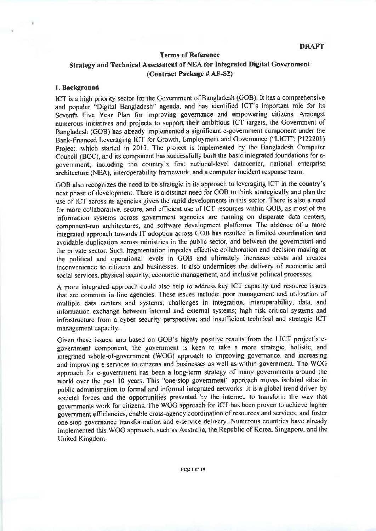# Terms of Reference Strategy and Technical Assessment of NEA for Integrated Digital Government (Contract Package # AF-S2)

#### 1. Background

ICT is a high priority sector for the Government of Bangladesh (GOB). It has a comprehensive and popular "Digital Bangladesh" agenda, and has identified ICT'S important role for its Seventh Five Year Plan for improving govemance and empowering citizens Amongst numerous initiatives and projects to support their ambitious ICT largets, the Government of Bangladesh (GOB) has already implemented a significant e-government component under the Bank-financed Leveraging ICT for Growth, Employment and Governance ("LICT"; P122201) Project, which started in 2013. The project is implemented by the Bangladesh Computer Council (BCC), and its component has successfully built the basic integrated foundations for egovernment; including the country's first national-level datacenter, national enterprise architecture (NEA), interoperability framework, and a computer incident response team.

GOB also recognizes the need to be strategic in its approach to leveraging ICT in the country's next phase of development. There is a distinct need for GOB to think strategically and plan the use of ICT across its agencies given the rapid developments in this sector. There is also a need for more collaborative, secure, and efficient use of ICT resources within GOB, as most of the information systems across government agencies are running on disparate data centers, component-run architectures, and software development platforms. The absence of a more integmted approach towards IT adoption across GOB has resulted in limited coordination and avoidable duplication across ministries in the public sector, and between the government and the private sector. Such fragmentation impedes effective collaboration and decision making at the political and operational levels in GOB and ultimately increases costs and creates inconvenience to citizens and businesses. It also undermines the delivery of cconomic and social services, physical security, economic management, and inclusive political processes.

A more integrated approach could also help to address key ICT capacity and resource issues that are common in line agencies. These issues include: poor management and utilization of multiple data centers and systems; challenges in integration, interoperability, data, and information exchange between internal and external systems; high risk critical systems and infrastructure fiom a cyber security perspective; and insurlicient technical and strategic ICT management capacity.

Given these issues, and based on GoB's highly positive results from the LICT project's egovernment component, the government is keen to take a more strategic, holistic, and integrared whole-of-govemment (woc) approach lo improving govemance, and increasing and improving e-services to citizens and businesses as well as within government. The WOG approach for e-government has been a long-term strategy of many governments around the world over the past 10 years. This "one-stop government" approach moves isolated silos in public administration to formal and informal integrated networks. It is a global trend driven by societal forces and the opportunities presented by the internet, to transform the way that govemments work for citizens. The WOC approach for ICT has been proven to achieve hrgher government efficiencies, enable cross-agency coordination of resources and services, and foster one-stop governance transformation and e-service delivery. Numerous countries have already implemented this WOC approach, such as Australia, the Republic of Korea, Singapore, and the United Kingdom.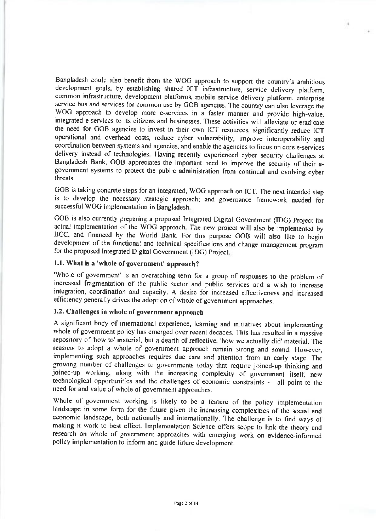Bangladesh could also benefit from the WOG approach to support the country's ambitious development goals, by establishing shared ICT infrastructure, service delivery platform. common infrastructure, development platforms, mobile service delivery platform, enterprise service bus and services for common use by GOB agencies The country can also leverage the WOC approach to develop more e-services in a faster manner and provide high-value, integrated e-services to its citizens and businesses. These activities will alleviate or eradicate the need for COB agencies to invest in their own ICT resources. significantly reduce ICT operational and overhead costs, reduce cyber vulnerability, improve interoperability and coordination between systems and agencies, ahd enable the agencies to focus on core e-services delivery instead of technologies Having recently experienced cyber security challenges at Bangladesh Bank, GOB appreciates the important need to improve the security of their egovemment systems ro protect the public administration from continual and evolving cyber threats.

 $\,$ 

GOB is taking concrete steps for an integrated, WOC approach on lCT. The next intended slep is to develop the necessary strategic approach; and governance framework needed for successful WOC implementation in Bangladesh

GOB is also currently preparing a proposed Integrated Digital Government (IDG) Project for actual implementation of the WOG approach. The new project will also be implemented by BCC, and financed by the World Bank. For this purpose GOB will also like to begin development of the functional and technical specifications and change management program for the proposed Integrated Digital Government (IDG) Project,

# 1.1. What is a 'whole of government' approach?

'Whole of government' is an overarching term for a group of responses to the problem of increased fragmentalion of the public sector and public services and a wish io increase integration, coordination and capacity. A desire for increased effectiveness and increased efficiency generally drives the adoption of whole of government approaches.

## 1.2. Challenges in whole of government approach

A significant body of international experience, learning and initiatives about implementing whole of government policy has emerged over recent decades. This has resulted in a massive repository of 'how to' material, but a dearth of reflective, 'how we actually did' material. The reasons to adopt a whole of government approach remain strong and sound. However, implementing such approaches requires due care and attention from an early stage. The growing number of challenges to governments today that require joined-up thinking and joined-up working, along with the increasing complexity of government itself, new technological opportunities and the challenges of economic constraints – all point to the need for and value of whole of government approaches. need for and value of whole of government approaches.

Whole of government working is likely to be a feature of the policy implementation landscape in some form for the future given the increasing complexities of the social and economic landscape, both nationally and internationally. The challenge is to find ways of making it work to best effect. Implementation Science offers scope to link the theory and research on whole of govemment approaches with emerging work on evidence-informed policy implementation to inform and guide future development.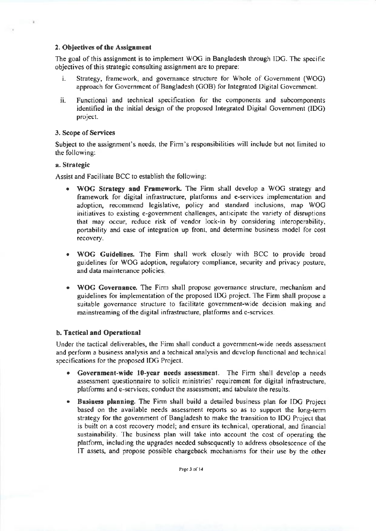### 2. Objectives of the Assignmeot

The goal of this assignment is to implement WOG in Bangladesh through IDG. The specific objectives of this strategic consulting assignment are to prepare:

- i. Strategy, framework, and govemance structure for Whole of Govemment (WOC) approach for Government of Bangladesh (GOB) for Integrated Digital Government.
- ii. Functional and technical specification for the components and subcomponents identified in the initial design of the proposed Integrated Digital Government (IDG) project.

### 3. scope of Services

Subject to the assignment's needs, the Firm's responsibilities will include but not limited to the following:

### a. Strategic

 $\sim$ 

Assist and Facilitate BCC to establish the following:

- . WOG Strategy and Framework. The Firm shall develop a WOG strategy and framework for digital infrastructure, platforms and e-services implementation and adoption, recommend legislative, policy and standard inclusions, map WOC initiatives to existing e-govemment challenges, anticipate the variety of disruptions that may occur, reduce risk of vendor lock-in by considering interoperability, portability and ease of integration up front, and determine business model for cost recovery\_
- . WOG Guidelines. The Firm shall work closely with BCC to provide broad guidelines for WOG adoption, regulatory compliance, security and privacy posture, and data maintenance policies
- . WOG Goveruance The Firm shall propose govemance structure, mechanism and guidelines for implementation of the proposed IDG project. The Firm shall propose a suitable govemance structure to facilitate govemment-wide decision making and mainstreaming of the digital infrastructure, platforms and e-services.

## b. Tactical and Operational

Under the tactical deliverables, the Firm shall conduct a government-wide needs assessment and perform a business analysis and a technical analysis and develop fiinctional and technical specifications for the proposed IDG Project.

- Government-wide 10-year needs assessment. The Firm shall develop a needs assessment questionnaire to solicit ministries' requirement for digital infrastructure, platforms and e-services; conduct the assessment; and tabulate the results.
- Business plauning. The Firm shall build a detailed business plan for IDG Project based on the available needs assessment reports so as to support the long-term strategy for the government of Bangladesh to make the transition to IDG Project that is built on a cost recovery model; and ensure its technical, operational, and financial sustainability. The business plan will take into account the cost of operating the platform, including the upgrades needed subsequently lo address obsolescence of the IT assets, and propose possible chargeback mechanisms for their use by the other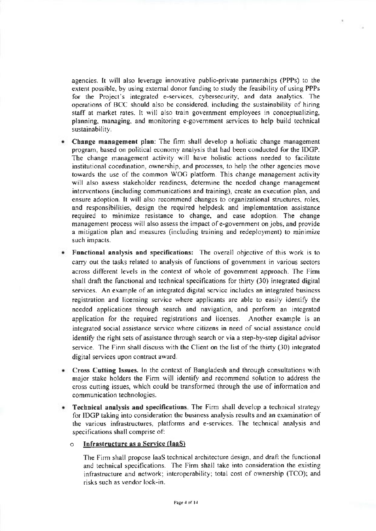agencies. It will also leverage innovative public-private pannerships (PPPS) to the extent possible. by using extemal donor funding to study the feasibility of using PPPS for the Project's integrated e-services, cybersecurity, and data analytics. The operarions of BCC should also be considered. including the suslainability of hiring staff ar market rates. It will also train government employees in conceptualizing, planning, managing, and monitoring e-government services to help build technical sustainability.

- Change management plan: The firm shall develop a holistic change management program, based on political economy analysis that had been conducted for the IDGP. The change management activity will have holistic actions needed to facilitate institutional coordination, ownership, and processes, to help fie other agencies move towards the use of the common WOC platform. This change management activity will also assess stakeholder readiness, determine the needed change management interventions (including communications and training), create an execution plan, and ensure adoption. It will also recommend changes to organizational structures, roles, and responsibilities, design the required helpdesk and implementation assistancc required to minimize resistance to change, and ease adoption The change managemenl process will also assess the impact ofe-government on jobs, and provide a mitigation plan and measures (including training and redeployment) to minimize such impacts.
- **Functional analysis and specifications:** The overall objective of this work is to carry out the tasks related to analysis of functions of government in various sectors across different levels in the context of whole of govemment approach. The Firm shall draft the functional and technical specifications for thirty (30) integrated digital services. An example of an integrated digital service includes an integrated business registration and licensing service where applicants are able to easily identiry the needed applications through search and navigation, and perform an integrated application for the required registrations and licenses. Another example is an integrated social assistance service where citizens in need of social assistance could identify the right sets of assistance through search or via a step-by-step digital advisor service. The Firm shall discuss with the Client on the list of the thirty  $(30)$  integrated digital services upon contract award
- **Cross Cutting Issues.** In the context of Bangladesh and through consultations with major stake holders the Firm will identify and recommend solution to address the cross cufting issues, which could be transformed through fte use of information and communication technologies.
- Technical analysis and specifications. The Firm shall develop a technical strategy for IDGP taking into consideration the busrness analysis resuhs and an examination of rhe various infrastructures, platforms and e-services. The technical analysis and specifications shall comprise of:

### $\circ$  Infrastructure as a Service (laaS)

The Firm shall propose IaaS technical architecture design, and draft the functional and technical specifications. The Firm shall take into consideration the existing infrastructure and network; interoperability; total cost of ownership (TCO); and risks such as vendor lock-in.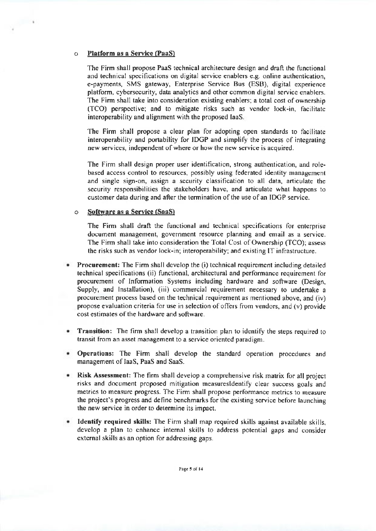#### Platform as a Service (PaaS)  $\Omega$

 $\sim$ 

The Firm shall propose PaaS technical architecture design and draft the functional and technical specifications on digital service enablers e.g. online authentication, e-payments, SMS gateway, Enterprise Service Bus (ESB), digital experience platform, cybersecurity, data analytics and other common digital service enablers. The Firm shall take into consideration existing enablers; a total cost of ownership (TCO) perspective; and to mitigate risks such as vendor lock-in, facilitate interoperability and alignment with the proposed laaS.

The Firm shall propose a clear plan for adopting open standards to facilitate interoperability and portability for IDGP and simplify the process of integrating new services, independent of where or how the new service is acquired.

The Firm shall design proper user identification, strong authentication, and rolebased access control to resources, possibly using federated identity management and single sign-on, assign a security classification to all data, articulate the security responsibilities the stakeholders have, and articulate what happens to customer data during and after the termination of the use of an IDGP service.

#### Software as a Service (SaaS)  $\circ$

The Firm shall draft the functional and technical specifications for enterprise document management, government resource planning and email as a service. The Firm shall take into consideration the Total Cost of Ownership (TCO): assess the risks such as vendor lock-in; interoperability; and existing IT infrastructure.

- Procurement: The Firm shall develop the (i) technical requirement including detailed technical specifications (ii) functional, architectural and performance requirement for procurement of Information Systems including hardware and software (Design, Supply, and Installation), (iii) commercial requirement necessary to undertake a procurement process based on the technical requirement as mentioned above, and (iv) propose evaluation criteria for use in selection of offers from vendors, and (v) provide cost estimates of the hardware and software.
- Transition: The firm shall develop a transition plan to identify the steps required to transit from an asset management to a service oriented paradigm.
- Operations: The Firm shall develop the standard operation procedures and management of IaaS, PaaS and SaaS.
- Risk Assessment: The firm shall develop a comprehensive risk matrix for all project risks and document proposed mitigation measures dentify clear success goals and metrics to measure progress. The Firm shall propose performance metrics to measure the project's progress and define benchmarks for the existing service before launching the new service in order to determine its impact.
- Identify required skills: The Firm shall map required skills against available skills, develop a plan to enhance internal skills to address potential gaps and consider external skills as an option for addressing gaps.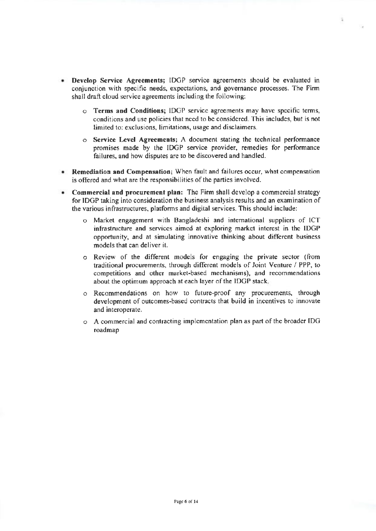- **Develop Service Agreements: IDGP** service agreements should be evaluated in conjunction with specific needs, expectations, and governance processes. The Firm shall draft cloud service agreements including the following:
	- $\circ$  Terms and Conditions; IDGP service agreements may have specific terms, conditions and use policies that need to be considered. This includes, but is not limited to: exclusions, limitations, usage and disclaimers.

÷

- $\circ$  Service Level Agreements; A document stating the technical performance promises made by the IDGP service provider, remedies for performance failures, and how disputes are to be discovered and handled.
- Remediation and Compensation; When fault and failures occur, what compensation is offered and what are the responsibilities of the parties involved.
- Commercial and procurement plan: The Firm shall develop a commercial strategy for IDGP taking into consideration the business analysis results and an examination of the various infrastruclures. platforms and digital services. This should include:
	- o Market engagement with Bangladeshi and intemational suppliers of ICT infrastructure and services aimed at exploring market interest in the IDCP opportunity, and at simulating innovative thinking abou different business models that can deliver it.
	- o Review of the different models for engaging the private sector ([rom traditional procurements, through different models of Joint Venture / PPP, ro competitions and other market-based mechanisms), and recommendations about the optimum approach at each layer of the IDGP stack.
	- o Recommendations on how to future-proof any procurements, through development of outcomes-based contracts that build in incentives to innovate and interoperate.
	- o <sup>A</sup>commercial and contracting implementation plan as part ofthe broader IDC roadmap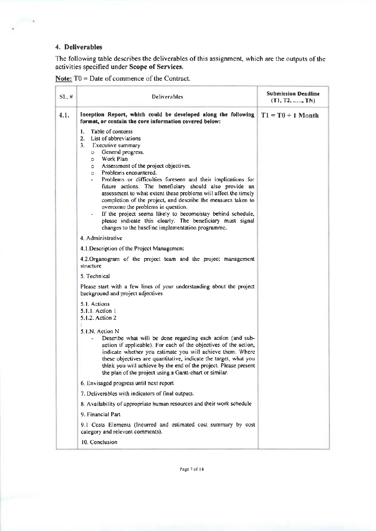# 4. Deliverables

 $-74.$ 

The following table describes the deliverables of this assignment, which are the outputs of the activities specified under Scope of Services.

| SL, H | <b>Deliverables</b>                                                                                                                                                                                                                                                                                                                                                                                                                                                                                                                                                                                                                                                                                                                  | <b>Submission Deadline</b><br>$(T1, T2, \ldots, TN)$ |  |
|-------|--------------------------------------------------------------------------------------------------------------------------------------------------------------------------------------------------------------------------------------------------------------------------------------------------------------------------------------------------------------------------------------------------------------------------------------------------------------------------------------------------------------------------------------------------------------------------------------------------------------------------------------------------------------------------------------------------------------------------------------|------------------------------------------------------|--|
| 4.1.  | Inception Report, which could be developed along the following<br>format, or contain the core information covered below:                                                                                                                                                                                                                                                                                                                                                                                                                                                                                                                                                                                                             | $T1 = T0 + I$ Month                                  |  |
|       | Table of contents<br>1.<br>$\overline{2}$ .<br>List of abbreviations<br>3.<br>Executive summary<br>General progress.<br>$\circ$<br>Work Plan<br>$\circ$<br>Assessment of the project objectives.<br>$\circ$<br>Problems encountered.<br>$\circ$<br>Problems or difficulties foreseen and their implications for<br>future actions. The beneficiary should also provide an<br>assessment to what extent these problems will affect the timely<br>completion of the project, and describe the measures taken to<br>overcome the problems in question.<br>If the project seems likely to become/stay behind schedule,<br>please indicate this clearly. The beneficiary must signal<br>changes to the baseline implementation programme. |                                                      |  |
|       | 4. Administrative                                                                                                                                                                                                                                                                                                                                                                                                                                                                                                                                                                                                                                                                                                                    |                                                      |  |
|       | 4.1 Description of the Project Management                                                                                                                                                                                                                                                                                                                                                                                                                                                                                                                                                                                                                                                                                            |                                                      |  |
|       | 4.2. Organogram of the project team and the project management<br>structure                                                                                                                                                                                                                                                                                                                                                                                                                                                                                                                                                                                                                                                          |                                                      |  |
|       | 5. Technical                                                                                                                                                                                                                                                                                                                                                                                                                                                                                                                                                                                                                                                                                                                         |                                                      |  |
|       | Please start with a few lines of your understanding about the project<br>background and project adjectives                                                                                                                                                                                                                                                                                                                                                                                                                                                                                                                                                                                                                           |                                                      |  |
|       | 5.1. Actions<br>5.1.1. Action 1<br>5.1.2. Action 2                                                                                                                                                                                                                                                                                                                                                                                                                                                                                                                                                                                                                                                                                   |                                                      |  |
|       | 5.1.N. Action N<br>Describe what will be done regarding each action (and sub-<br>action if applicable). For each of the objectives of the action,<br>indicate whether you estimate you will achieve them. Where<br>these objectives are quantitative, indicate the target, what you<br>think you will achieve by the end of the project. Please present<br>the plan of the project using a Gantt-chart or similar.                                                                                                                                                                                                                                                                                                                   |                                                      |  |
|       | 6. Envisaged progress until next report                                                                                                                                                                                                                                                                                                                                                                                                                                                                                                                                                                                                                                                                                              |                                                      |  |
|       | 7. Deliverables with indicators of final outputs.                                                                                                                                                                                                                                                                                                                                                                                                                                                                                                                                                                                                                                                                                    |                                                      |  |
|       | 8. Availability of appropriate human resources and their work schedule                                                                                                                                                                                                                                                                                                                                                                                                                                                                                                                                                                                                                                                               |                                                      |  |
|       | 9. Financial Part                                                                                                                                                                                                                                                                                                                                                                                                                                                                                                                                                                                                                                                                                                                    |                                                      |  |
|       | 9.1 Costs Elements (Incurred and estimated cost summary by cost<br>category and relevant comments).                                                                                                                                                                                                                                                                                                                                                                                                                                                                                                                                                                                                                                  |                                                      |  |
|       | 10. Conclusion                                                                                                                                                                                                                                                                                                                                                                                                                                                                                                                                                                                                                                                                                                                       |                                                      |  |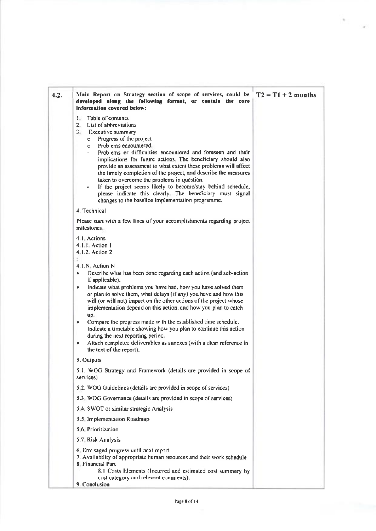| 4.2. | Main Report on Strategy section of scope of services, could be<br>developed along the following format, or contain the core<br>Information covered below:                                                                                                                                                                                                                                                                                                                                                                                                                                                                                                                                        | $T2 = T1 + 2$ months |
|------|--------------------------------------------------------------------------------------------------------------------------------------------------------------------------------------------------------------------------------------------------------------------------------------------------------------------------------------------------------------------------------------------------------------------------------------------------------------------------------------------------------------------------------------------------------------------------------------------------------------------------------------------------------------------------------------------------|----------------------|
|      | Table of contents<br>$\mathbf{1}$<br>2. List of abbreviations<br>3. Executive summary<br>Progress of the project<br>$\circ$<br>Problems encountered.<br>$\circ$<br>Problems or difficulties encountered and foreseen and their<br>implications for future actions. The beneficiary should also<br>provide an assessment to what extent these problems will affect<br>the timely completion of the project, and describe the measures<br>taken to overcome the problems in question.<br>If the project seems likely to become/stay behind schedule,<br>please indicate this clearly. The beneficiary must signal                                                                                  |                      |
|      | changes to the baseline implementation programme.                                                                                                                                                                                                                                                                                                                                                                                                                                                                                                                                                                                                                                                |                      |
|      | 4. Technical                                                                                                                                                                                                                                                                                                                                                                                                                                                                                                                                                                                                                                                                                     |                      |
|      | Please start with a few lines of your accomplishments regarding project<br>milestones.                                                                                                                                                                                                                                                                                                                                                                                                                                                                                                                                                                                                           |                      |
|      | 4.1 Actions<br>4.1.1. Action 1<br>4.1.2. Action 2                                                                                                                                                                                                                                                                                                                                                                                                                                                                                                                                                                                                                                                |                      |
|      | 4.1.N. Action N<br>Describe what has been done regarding each action (and sub-action<br>٠<br>if applicable).<br>Indicate what problems you have had, how you have solved them<br>٠<br>or plan to solve them, what delays (if any) you have and how this<br>will (or will not) impact on the other actions of the project whose<br>implementation depend on this action, and how you plan to catch<br>up.<br>Compare the progress made with the established time schedule.<br>۰<br>Indicate a timetable showing how you plan to continue this action<br>during the next reporting period.<br>Attach completed deliverables as annexes (with a clear reference in<br>۰<br>the text of the report). |                      |
|      | 5. Outputs                                                                                                                                                                                                                                                                                                                                                                                                                                                                                                                                                                                                                                                                                       |                      |
|      | 5.1. WOG Strategy and Framework (details are provided in scope of<br>services)                                                                                                                                                                                                                                                                                                                                                                                                                                                                                                                                                                                                                   |                      |
|      | 5.2. WOG Guidelines (details are provided in scope of services)                                                                                                                                                                                                                                                                                                                                                                                                                                                                                                                                                                                                                                  |                      |
|      | 5.3 WOG Governance (details are provided in scope of services)                                                                                                                                                                                                                                                                                                                                                                                                                                                                                                                                                                                                                                   |                      |
|      | 5.4. SWOT or similar strategic Analysis                                                                                                                                                                                                                                                                                                                                                                                                                                                                                                                                                                                                                                                          |                      |
|      | 5.5 Implementation Roadmap                                                                                                                                                                                                                                                                                                                                                                                                                                                                                                                                                                                                                                                                       |                      |
|      | 5.6. Prioritization                                                                                                                                                                                                                                                                                                                                                                                                                                                                                                                                                                                                                                                                              |                      |
|      | 5.7 Risk Analysis                                                                                                                                                                                                                                                                                                                                                                                                                                                                                                                                                                                                                                                                                |                      |
|      | 6. Envisaged progress until next report<br>7. Availability of appropriate human resources and their work schedule<br>8 Financial Part<br>8.1 Costs Elements (Incurred and estimated cost summary by<br>cost category and relevant comments).                                                                                                                                                                                                                                                                                                                                                                                                                                                     |                      |
|      | 9. Conclusion                                                                                                                                                                                                                                                                                                                                                                                                                                                                                                                                                                                                                                                                                    |                      |

 $\epsilon$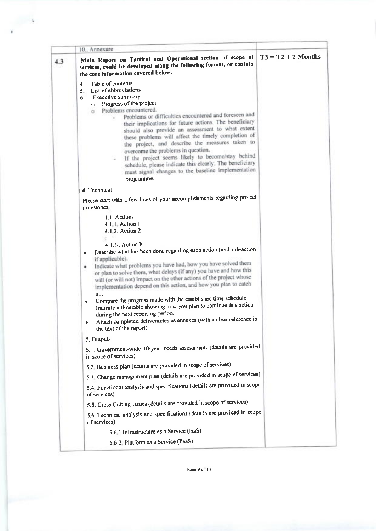|     | 10. Annexure                                                                                                                                                                                                                                                                                                                                                                                                                                                                                                                                                                                                                                                                                                                                           |  |
|-----|--------------------------------------------------------------------------------------------------------------------------------------------------------------------------------------------------------------------------------------------------------------------------------------------------------------------------------------------------------------------------------------------------------------------------------------------------------------------------------------------------------------------------------------------------------------------------------------------------------------------------------------------------------------------------------------------------------------------------------------------------------|--|
| 4.3 | Main Report on Tactical and Operational section of scope of $\vert$ T3 = T2 + 2 Months<br>services, could be developed along the following format, or contain<br>the core information covered below:                                                                                                                                                                                                                                                                                                                                                                                                                                                                                                                                                   |  |
|     | Table of contents<br>4.<br>List of abbreviations<br>$5 -$<br>Executive summary<br>6.<br>Progress of the project<br>$\circ$<br>Problems encountered.<br>O.<br>Problems or difficulties encountered and foreseen and<br>their implications for future actions. The beneficiary<br>should also provide an assessment to what extent<br>these problems will affect the timely completion of<br>the project, and describe the measures taken to<br>overcome the problems in question.<br>If the project seems likely to become/stay behind<br>schedule, please indicate this clearly. The beneficiary<br>must signal changes to the baseline implementation<br>programme.                                                                                   |  |
|     | 4. Technical                                                                                                                                                                                                                                                                                                                                                                                                                                                                                                                                                                                                                                                                                                                                           |  |
|     | Please start with a few lines of your accomplishments regarding project<br>milestones.                                                                                                                                                                                                                                                                                                                                                                                                                                                                                                                                                                                                                                                                 |  |
|     | 4.1. Actions<br>4.1.1. Action 1<br>4.1.2. Action 2<br>4.1.N. Action N<br>Describe what has been done regarding each action (and sub-action<br>۰<br>if applicable).<br>Indicate what problems you have had, how you have solved them<br>٠<br>or plan to solve them, what delays (if any) you have and how this<br>will (or will not) impact on the other actions of the project whose<br>implementation depend on this action, and how you plan to catch<br>up.<br>Compare the progress made with the established time schedule.<br>۰<br>Indicate a timetable showing how you plan to continue this action<br>during the next reporting period.<br>Attach completed deliverables as annexes (with a clear reference in<br>٠<br>the text of the report). |  |
|     | 5. Outputs                                                                                                                                                                                                                                                                                                                                                                                                                                                                                                                                                                                                                                                                                                                                             |  |
|     | 5.1. Government-wide 10-year needs assessment. (details are provided<br>in scope of services)                                                                                                                                                                                                                                                                                                                                                                                                                                                                                                                                                                                                                                                          |  |
|     | 5.2. Business plan (details are provided in scope of services)                                                                                                                                                                                                                                                                                                                                                                                                                                                                                                                                                                                                                                                                                         |  |
|     | 5.3. Change management plan (details are provided in scope of services)                                                                                                                                                                                                                                                                                                                                                                                                                                                                                                                                                                                                                                                                                |  |
|     | 5.4. Functional analysis and specifications (details are provided in scope<br>of services)                                                                                                                                                                                                                                                                                                                                                                                                                                                                                                                                                                                                                                                             |  |
|     | 5.5. Cross Cutting Issues (details are provided in scope of services)                                                                                                                                                                                                                                                                                                                                                                                                                                                                                                                                                                                                                                                                                  |  |
|     | 5.6. Technical analysis and specifications (details are provided in scope<br>of services)                                                                                                                                                                                                                                                                                                                                                                                                                                                                                                                                                                                                                                                              |  |
|     | 5.6.1. Infrastructure as a Service (laaS)                                                                                                                                                                                                                                                                                                                                                                                                                                                                                                                                                                                                                                                                                                              |  |
|     | 5.6.2 Platform as a Service (PaaS)                                                                                                                                                                                                                                                                                                                                                                                                                                                                                                                                                                                                                                                                                                                     |  |

 $\sim$ 

Page 9 of 14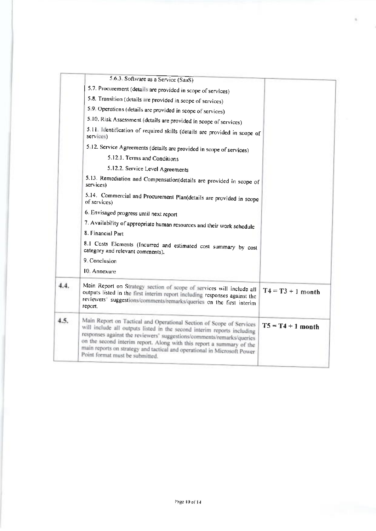|      | 5.6.3 Software as a Service (SaaS)                                                                                                                                                                                                                                                                                                                                                                               |                     |  |  |
|------|------------------------------------------------------------------------------------------------------------------------------------------------------------------------------------------------------------------------------------------------------------------------------------------------------------------------------------------------------------------------------------------------------------------|---------------------|--|--|
|      | 5.7. Procurement (details are provided in scope of services)                                                                                                                                                                                                                                                                                                                                                     |                     |  |  |
|      | 5.8. Transition (details are provided in scope of services)                                                                                                                                                                                                                                                                                                                                                      |                     |  |  |
|      | 5.9 Operations (details are provided in scope of services)                                                                                                                                                                                                                                                                                                                                                       |                     |  |  |
|      | 5.10. Risk Assessment (details are provided in scope of services)                                                                                                                                                                                                                                                                                                                                                |                     |  |  |
|      | 5.11 Identification of required skills (details are provided in scope of<br>services)                                                                                                                                                                                                                                                                                                                            |                     |  |  |
|      | 5.12. Service Agreements (details are provided in scope of services)                                                                                                                                                                                                                                                                                                                                             |                     |  |  |
|      | 5.12.1. Terms and Conditions                                                                                                                                                                                                                                                                                                                                                                                     |                     |  |  |
|      | 5.12.2. Service Level Agreements                                                                                                                                                                                                                                                                                                                                                                                 |                     |  |  |
|      | 5.13. Remediation and Compensation(details are provided in scope of<br>services)                                                                                                                                                                                                                                                                                                                                 |                     |  |  |
|      | 5.14. Commercial and Procurement Plan(details are provided in scope<br>of services)                                                                                                                                                                                                                                                                                                                              |                     |  |  |
|      | 6. Envisaged progress until next report                                                                                                                                                                                                                                                                                                                                                                          |                     |  |  |
|      | 7. Availability of appropriate human resources and their work schedule                                                                                                                                                                                                                                                                                                                                           |                     |  |  |
|      | 8. Financial Part                                                                                                                                                                                                                                                                                                                                                                                                |                     |  |  |
|      | 8.1 Costs Elements (Incurred and estimated cost summary by cost<br>category and relevant comments).                                                                                                                                                                                                                                                                                                              |                     |  |  |
|      | 9. Conclusion                                                                                                                                                                                                                                                                                                                                                                                                    |                     |  |  |
|      | 10. Annexure                                                                                                                                                                                                                                                                                                                                                                                                     |                     |  |  |
| 4.4. | Main Report on Strategy section of scope of services will include all<br>outputs listed in the first interim report including responses against the<br>reviewers' suggestions/comments/remarks/queries on the first interim<br>героп.                                                                                                                                                                            | $T4 = T3 + 1$ month |  |  |
| 4.5. | Main Report on Tactical and Operational Section of Scope of Services<br>will include all outputs listed in the second interim reports including<br>responses against the reviewers' suggestions/comments/remarks/queries<br>on the second interim report. Along with this report a summary of the<br>main reports on strategy and tactical and operational in Microsoft Power<br>Point format must be submitted. | $T5 = T4 + 1$ month |  |  |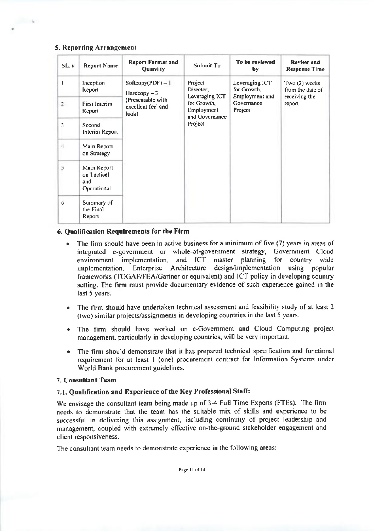#### 5. Reporting Arrangement

 $\sim$   $\sim$ 

| SL.#           | <b>Report Name</b>                               | <b>Report Format and</b><br><b>Quantity</b>      | Submit To                                              | To be reviewed<br>by                            | Review and<br><b>Response Time</b>                |
|----------------|--------------------------------------------------|--------------------------------------------------|--------------------------------------------------------|-------------------------------------------------|---------------------------------------------------|
| T              | Inception<br>Report                              | $Soflcopy(PDF) - 1$<br>$Hardcopy - 3$            | Project<br>Director,<br>Leveraging ICT                 | Leveraging ICT<br>for Growth.<br>Employment and | Two(2) weeks<br>from the date of<br>receiving the |
| $\overline{2}$ | <b>First Interim</b><br>Report                   | (Presentable with<br>excellent feel and<br>look) | for Growth,<br>Employment<br>and Governance<br>Project | Governance<br>Project                           | report                                            |
| 3              | Second<br>Interim Report                         |                                                  |                                                        |                                                 |                                                   |
| 4              | Main Report<br>on Strategy                       |                                                  |                                                        |                                                 |                                                   |
| 5              | Main Report<br>on Tactical<br>and<br>Operational |                                                  |                                                        |                                                 |                                                   |
| 6              | Summary of<br>the Final<br>Report                |                                                  |                                                        |                                                 |                                                   |

#### 6. Qualification Requirements for the Firm

- The firm should have been in active business for a minimum of five (7) years in areas of integrated e-government or whole-of-government strategy, Government Cloud environment implementation, and ICT master planning for country wide implementation, Enterprise Architecture design/implementation using popular frameworks (TOGAF/FEA/Gartner or equivalent) and ICT policy in developing country setting. The firm must provide documentary evidence of such experience gained in the last 5 years.
- The firm should have undertaken technical assessment and feasibility study of at least 2 (two) similar projects/assignments in developing countries in the last 5 years.
- The firm should have worked on e-Government and Cloud Computing project management, particularly in developing countries, will be very important.
- The firm should demonstrate that it has prepared technical specification and functional  $\bullet$  . requirement for at least 1 (one) procurement contract for Information Systems under World Bank procurement guidelines.

### 7. Consultant Team

### 7.1. Qualification and Experience of the Key Professional Staff:

We envisage the consultant team being made up of 3-4 Full Time Experts (FTEs). The firm needs to demonstrate that the team has the suitable mix of skills and experience to be successful in delivering this assignment, including continuity of project leadership and management, coupled with extremely effective on-the-ground stakeholder engagement and client responsiveness.

The consultant team needs to demonstrate experience in the following areas: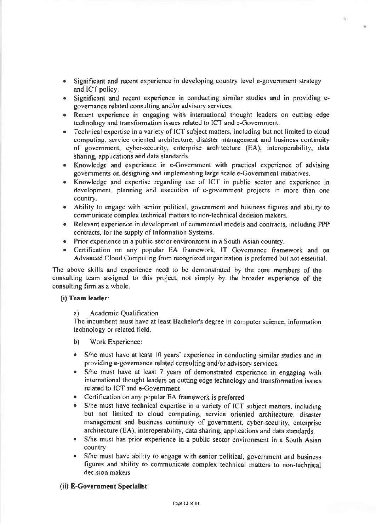- Significant and recent experience in developing country level e-government strategy and ICT policy.
- Significant and recent experience in conducting similar studies and in providing egovernance related consulting and/or advisory services.
- Recent experience in engaging with international thought leaders on cutting edge technology and transformation issues related to ICT and e-Government.
- . Technical expertise in a variety of ICT subject matters, including but not limited to cloud computing, service oriented architecture, disaster management and business continuity of government, cyber-security, enterprise architecture (EA), interoperability, data sharing, applications and data standards.
- . Knowledge and experience in e-Covemment with practical experience of advising govemments on designing and implementing large scale e-Covemment iniliatives.
- Knowledge and expertise regarding use of ICT in public sector and experience in development, planning and execution of e-government projects in more than one country,
- . Abiliry to engage with senior political, government and business figures and ability to communicate complex technical matters to non-lechnical decision makers.
- Relevant experience in development of commercial models and contracts, including PPP contracts, for the supply of Information Systems.
- . Prior experience in a public seclor environment in a South Asian country.
- . Certification on any popular EA framework, IT Covemance framework and on Advanced Cloud Computing from recognized organization is preferred but not essential.

The above skills and experience need to be demonstrated by the core members of the consulting team assigned to this project, not simply by the broader experience of the consulting firm as a whole.

#### (i) Team leader:

a) Academic Qualification

The incumbent must have at least Bachelor's degree in computer science, information technology or related field.

- b) Work Experience:
- . S/he must have at least l0 years' expericnce in conducting similar studies and in providing e-governance related consulting and/or advisory services.
- . S/he must have at least 7 years of demonstrated experience in engaging with international thought leaders on cutting edge technology and transformation issues related to ICT and e-Govemment
- . Cerlification on any popular EA framework is prefer.ed
- S/he must have technical expertise in a variety of ICT subject matters, including but not limited to cloud computing, service oriented architecture, disaster management and business continuity of govemment, cyber-security, enlerprise architecture (EA), interoperability, data sharing, applications and data standards.
- . S/he must has prior experience in a public sector environment in a South Asian country
- S/he must have ability to engage with senior political, government and business figures and ability to communicate complex technical matters to non-technical decision makers

#### (ii) E-Government Specialist:

40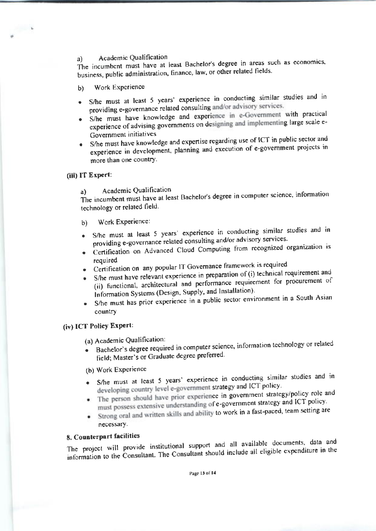#### Academic Qualification a)

The incumbent must have at least Bachelor's degree in areas such as economics, business, public administration, finance, law, or other related fields.

- Work Experience  $b)$
- · S/he must at least 5 years' experience in conducting similar studies and in providing e-governance related consulting and/or advisory services.
- S/he must have knowledge and experience in e-Government with practical experience of advising governments on designing and implementing large scale e-Government initiatives
- S/he must have knowledge and expertise regarding use of ICT in public sector and experience in development, planning and execution of e-government projects in more than one country.

### (iii) IT Expert:

 $\begin{array}{ccc}\n\bullet & \bullet & \bullet & \bullet\n\end{array}$ 

Academic Qualification a)

The incumbent must have at least Bachelor's degree in computer science, information technology or related field.

- Work Experience: b)
- · S/he must at least 5 years' experience in conducting similar studies and in providing e-governance related consulting and/or advisory services.
- · Certification on Advanced Cloud Computing from recognized organization is required
- Certification on any popular IT Governance framework is required
- S/he must have relevant experience in preparation of (i) technical requirement and (ii) functional, architectural and performance requirement for procurement of Information Systems (Design, Supply, and Installation).
- S/he must has prior experience in a public sector environment in a South Asian country

# (iv) ICT Policy Expert:

(a) Academic Qualification:

· Bachelor's degree required in computer science, information technology or related field; Master's or Graduate degree preferred.

(b) Work Experience

- S/he must at least 5 years' experience in conducting similar studies and in  $\bullet$ developing country level e-government strategy and ICT policy.
- The person should have prior experience in government strategy/policy role and must possess extensive understanding of e-government strategy and ICT policy.
- Strong oral and written skills and ability to work in a fast-paced, team setting are necessary.

# 8. Counterpart facilities

The project will provide institutional support and all available documents, data and information to the Consultant. The Consultant should include all eligible expenditure in the